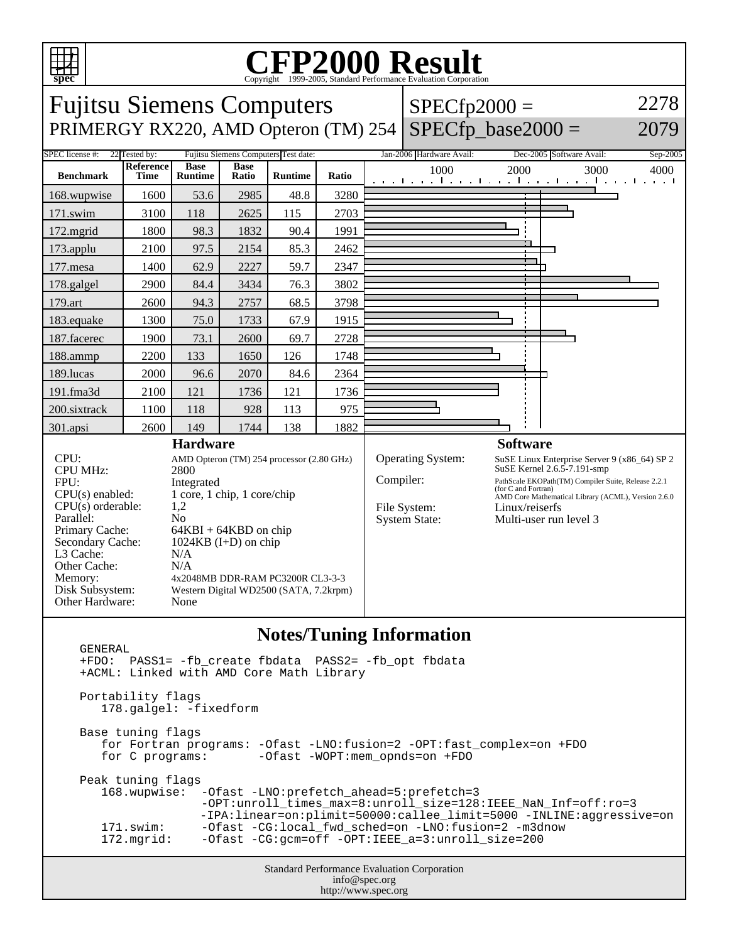

## C<sub>opyright</sub> ©1999-2005, Standard Performance Evaluation Corporation

Fujitsu Siemens Computers  $SPECfp2000 =$ 2278 PRIMERGY RX220, AMD Opteron (TM) 254  $|$  SPECfp\_base2000 = 2079 SPEC license #: 22 Tested by: Fujitsu Siemens Computers Test date: Jan-2006 Hardware Avail: Dec-2005 Software Avail: Sep-2005 **Reference Base Base Runtime Ratio** 1000 2000 3000 4000 **Benchmark Time Runtime** ┑ 168.wupwise 1600 53.6 2985 48.8 3280 171.swim | 3100 | 118 | 2625 | 115 | 2703 172.mgrid | 1800 | 98.3 | 1832 | 90.4 | 1991 173.applu | 2100 | 97.5 | 2154 | 85.3 | 2462 177.mesa | 1400 62.9 2227 59.7 2347 178.galgel | 2900 | 84.4 | 3434 | 76.3 | 3802 179.art | 2600 | 94.3 | 2757 | 68.5 | 3798 183.equake 1300 75.0 1733 67.9 1915 187.facerec | 1900 | 73.1 | 2600 | 69.7 | 2728 188.ammp | 2200 | 133 | 1650 | 126 | 1748 189.lucas | 2000 | 96.6 | 2070 | 84.6 | 2364 191.fma3d 2100 121 1736 121 1736 200.sixtrack 1100 118 928 113 975 301.apsi | 2600 | 149 | 1744 | 138 | 1882 **Hardware Software** CPU: AMD Opteron (TM) 254 processor (2.80 GHz) Operating System: SuSE Linux Enterprise Server 9 (x86\_64) SP 2 SuSE Kernel 2.6.5-7.191-smp CPU MHz: 2800 Compiler: PathScale EKOPath(TM) Compiler Suite, Release 2.2.1 FPU: Integrated (for C and Fortran) AMD Core Mathematical Library (ACML), Version 2.6.0  $CPU(s)$  enabled:  $1$  core, 1 chip, 1 core/chip  $CPU(s)$  orderable:  $1,2$  $CPU(s)$  orderable: File System: Linux/reiserfs Parallel: No System State: Multi-user run level 3 Primary Cache: 64KBI + 64KBD on chip Secondary Cache: 1024KB (I+D) on chip L3 Cache: N/A Other Cache: N/A Memory: 4x2048MB DDR-RAM PC3200R CL3-3-3 Disk Subsystem: Western Digital WD2500 (SATA, 7.2krpm) Other Hardware: None

## **Notes/Tuning Information**

 GENERAL +FDO: PASS1= -fb\_create fbdata PASS2= -fb\_opt fbdata +ACML: Linked with AMD Core Math Library Portability flags 178.galgel: -fixedform Base tuning flags for Fortran programs: -Ofast -LNO:fusion=2 -OPT:fast\_complex=on +FDO for C programs: -Ofast -WOPT:mem\_opnds=on +FDO Peak tuning flags 168.wupwise: -Ofast -LNO:prefetch\_ahead=5:prefetch=3 -OPT:unroll\_times\_max=8:unroll\_size=128:IEEE\_NaN\_Inf=off:ro=3 -IPA:linear=on:plimit=50000:callee\_limit=5000 -INLINE:aggressive=on 171.swim: -Ofast -CG:local\_fwd\_sched=on -LNO:fusion=2 -m3dnow<br>172.mgrid: -Ofast -CG:gcm=off -OPT:IEEE a=3:unroll size=200 -Ofast -CG:gcm=off -OPT:IEEE\_a=3:unroll\_size=200

Standard Performance Evaluation Corporation info@spec.org http://www.spec.org